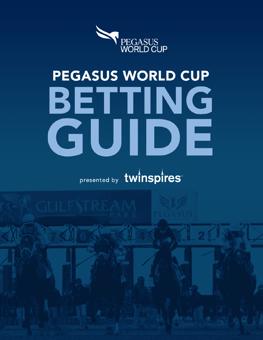

# PEGASUS WORLD CUP BETTING GUIDE

presented by twinspires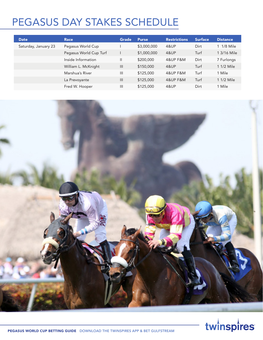## PEGASUS DAY STAKES SCHEDULE

| <b>Date</b>          | <b>Race</b>            | Grade          | <b>Purse</b> | <b>Restrictions</b> | <b>Surface</b> | <b>Distance</b> |
|----------------------|------------------------|----------------|--------------|---------------------|----------------|-----------------|
| Saturday, January 23 | Pegasus World Cup      |                | \$3,000,000  | 4&UP                | Dirt           | $1/8$ Mile      |
|                      | Pegasus World Cup Turf |                | \$1,000,000  | <b>4&amp;UP</b>     | Turf           | 1 3/16 Mile     |
|                      | Inside Information     | $\mathsf{II}$  | \$200,000    | 4&UP F&M            | Dirt           | 7 Furlongs      |
|                      | William L. McKnight    | $\mathbf{III}$ | \$150,000    | <b>4&amp;UP</b>     | Turf           | 1 1/2 Mile      |
|                      | Marshua's River        | $\mathbf{III}$ | \$125,000    | 4&UP F&M            | Turf           | 1 Mile          |
|                      | La Prevoyante          | III            | \$125,000    | 4&UP F&M            | Turf           | 1 1/2 Mile      |
|                      | Fred W. Hooper         | $\mathbf{III}$ | \$125,000    | 4&UP                | Dirt           | 1 Mile          |



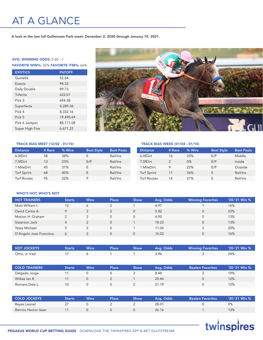## AT A GLANCE

A look at the last full Gulfstream Park meet: December 2, 2020 through January 10, 2021.

#### AVG. WINNING ODDS: 5.60 - 1

FAVORITE WIN%: 35% FAVORITE ITM%: 66%

| <b>EXOTICS</b>  | <b>PAYOFF</b> |
|-----------------|---------------|
| Quinella        | 52.64         |
| Exacta          | 94.33         |
| Daily Double    | 89.73         |
| Trifecta        | 622.01        |
| Pick 3          | 694.38        |
| Superfecta      | 4,289.36      |
| Pick 4          | 8,332.16      |
| Pick 5          | 19.490.69     |
| Pick 6 Jackpot  | 88,171.08     |
| Super High Five | 6,671.22      |



TRACK BIAS WEEK (01/04 - 01/10)

#### TRACK BIAS MEET (12/02 - 01/10)

| <b>Distance</b>    | # Race | % Wire | <b>Best Style</b> | <b>Best Posts</b> |
|--------------------|--------|--------|-------------------|-------------------|
| 6.0fDirt           | 58     | 38%    | <b>1</b>          | Rail/Ins          |
| 7.0fDirt           | 13     | 23%    | E/P               | Rail/Ins          |
| 1 MileDirt         | 45     | 31%    | <b>1</b>          | Rail/Ins          |
| <b>Turf Sprint</b> | 68     | 40%    | E.                | Rail/Ins          |
| <b>Turf Routes</b> | 95     | 22%    | D                 | Rail/Ins          |

#### WHO'S HOT, WHO'S NOT

| <b>HOT TRAINERS</b>     | <b>Starts</b> | <b>Wins</b> | <b>Place</b> | Show     | Avg. Odds | <b>Winning Favorites</b> | $'20-'21$ Win % |
|-------------------------|---------------|-------------|--------------|----------|-----------|--------------------------|-----------------|
| Mott William I.         | 12            | 6           |              |          | 4.97      |                          | 16%             |
| David Carlos A.         | $\mathsf Q$   |             |              | $\Omega$ | 5.82      | $\Omega$                 | 23%             |
| Motion H. Graham        | $\mathcal{D}$ |             | $\Omega$     | $\Omega$ | 4.90      |                          | 13%             |
| Sisterson Jack          | 4             |             | $\Omega$     |          | 18.23     |                          | 13%             |
| Yates Michael           |               |             | 0            |          | 11.04     |                          | 20%             |
| D'Angelo Jose Francisco | 6             |             |              | $\Omega$ | 16.02     | $\Omega$                 | 16%             |

| <b>HOT JOCKEYS</b> | Starts | <b>Wins</b> | Place | <b>Show</b> | Avg. Odds / | <b>Example 1</b> Winning Favorites | 720-′21 Win % |
|--------------------|--------|-------------|-------|-------------|-------------|------------------------------------|---------------|
| Ortiz, Jr. Irad    |        |             |       |             | 3.96        |                                    | 24%           |

| <b>COLD TRAINERS</b> | <b>Starts</b> | <b>Wins</b> | $\mathsf{Place}^1$ | Show | Ava. Odds | <b>Beaten Favorites</b> | $'20-'21$ Win % |
|----------------------|---------------|-------------|--------------------|------|-----------|-------------------------|-----------------|
| Delgado Jorge        |               |             |                    |      | 8.48      |                         | 19%             |
| Wilkes Ian R.        |               |             |                    |      | 20.44     |                         | 12%             |
| Romans Dale L.       | 10            |             |                    |      | 21.19     |                         | 12%             |

| <b>COLD JOCKEYS</b>  | Starts | <b>Wins</b> | Place' | Show | Ava. Odds | <b>Beaten Favorites</b> | $'20$ -'21 Win % |
|----------------------|--------|-------------|--------|------|-----------|-------------------------|------------------|
| Reves Leonel         |        |             |        |      | 28.01     |                         | 9%               |
| Berrios Hector Isaac |        |             |        |      | 26.16     |                         | 3%               |

## twinspires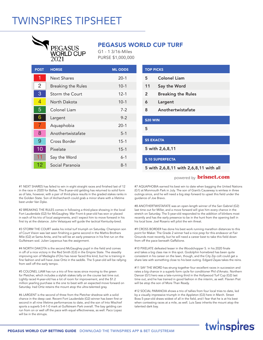## TWINSPIRES TIPSHEET



### PEGASUS WORLD CUP TURF

G1 - 1 3/16-Miles PURSE \$1,000,000

| <b>POST</b>    | <b>HORSE</b>              | <b>ML ODDS</b> |
|----------------|---------------------------|----------------|
| 1              | <b>Next Shares</b>        | $20-1$         |
| $\overline{2}$ | <b>Breaking the Rules</b> | $10-1$         |
| 3              | Storm the Court           | $12 - 1$       |
| 4              | North Dakota              | $10-1$         |
| 5              | Colonel Liam              | $7-2$          |
| 6              | Largent                   | $9 - 2$        |
| 7              | Aquaphobia                | $20-1$         |
| 8              | Anothertwistafate         | $5 - 1$        |
| 9              | Cross Border              | $15 - 1$       |
| 10             | Pixelate                  | $15 - 1$       |
| 11             | Say the Word              | $6-1$          |
| 12             | Social Paranoia           | $8 - 1$        |

|                         | <b>TOP PICKS</b>          |  |  |
|-------------------------|---------------------------|--|--|
| 5                       | <b>Colonel Liam</b>       |  |  |
| 11                      | Say the Word              |  |  |
| 2                       | <b>Breaking the Rules</b> |  |  |
| 6                       | Largent                   |  |  |
| 8                       | Anothertwistafate         |  |  |
| <b>\$20 WIN</b>         |                           |  |  |
| 5                       |                           |  |  |
| <b>\$5 EXACTA</b>       |                           |  |  |
| 5 with 2,6,8,11         |                           |  |  |
| <b>\$.10 SUPERFECTA</b> |                           |  |  |

5 with 2,6,8,11 with 2,6,8,11 with all

#### powered by **brisnet.com**

#1 NEXT SHARES has failed to win in eight straight races and finished last of 12 in the race in 2020 for Baltas. The 8-year-old gelding has returned to solid form as of late, however, with a pair of third-place results in the graded stakes ranks in the Golden State. Son of Archarcharch could grab a minor share with a lifetime best under Van Dyke.

#2 BREAKING THE RULES comes in following a third-place showing in the local Fort Lauderdale (G2) for McGaughey. War Front 6-year-old has won or placed in each of his trio of local assignments, and I expect him to move forward in his first try at the distance. John Velazquez will guide the tactical Kentucky-bred.

#3 STORM THE COURT seeks his initial turf triumph on Saturday. Champion son of Court Vision was last seen finishing a game second in the Mathis Brothers Mile (G2) at Santa Anita, and he will be an early presence in his first run on the Gulfstream sod. Julien Leparoux has the assignment.

#4 NORTH DAKOTA is the second McGaughey pupil in the field and comes in off of a nice victory in the Red Smith (G3) in the Empire State. The steadily improving son of Medaglia d'Oro has never faced this kind, but he is training in fine fashion and will have Jose Ortiz in the saddle. The 5-year-old will be rallying from well off the early tempo.

#5 COLONEL LIAM has run a trio of fine races since moving to the green for Pletcher, which includes a stylish stakes tally on the course last time out. Lightly raced 4-year-old has a lot of room for improvement, and the \$1.2 million yearling purchase is the one to beat with an expected move forward on Saturday. Irad Ortiz retains the mount atop the ultra-talented gray.

#6 LARGENT is the second of three from the Pletcher shedrow with a solid chance in the deep cast. Recent Fort Lauderdale (G2) winner has been first or second in all nine lifetime performances to date, and the son of Into Mischief sports a superb 5-4-1-0 mark at Gulfstream Park overall. The bay gelding can run from on or well off the pace with equal effectiveness, as well. Paco Lopez will be in the stirrups.

#7 AQUAPHOBIA earned his best win to date when bagging the United Nations (G1) at Monmouth Park in July. The son of Giant's Causeway is winless in three outings since, and he will need a big step forward to upset this field under the guidance of Joe Bravo.

#8 ANOTHERTWISTAFATE was an open-length winner of the San Gabriel (G2) last time out for Miller, and a move forward will give him every chance in the stretch on Saturday. The 5-year-old responded to the addition of blinkers most recently and has the early presence to be in the hunt from the opening bell in his local bow. Joel Rosario will pilot the win threat.

#9 CROSS BORDER has done his best work running marathon distances to this point for Maker. The Grade 2 winner had a nice prep for this endeavor at Fair Grounds most recently, but he will need a career best to take this field down from off the pace beneath Gaffalione.

#10 PIXELATE defeated lesser in the Woodchopper S. in his 2020 finale and takes a big class rise in this spot. Godolphin homebred has been quite consistent in his career on the lawn, though, and the City Zip colt could get a share late with something close to his best outing. Edgard Zayas takes the reins.

#11 SAY THE WORD has strung together four excellent races in succession and rates a big chance in a superb form cycle for conditioner Phil d'Amato. Northern Dancer (G1) hero was a late-running third in the Hollywood Turf Cup (G2) last time out, and he has trained in good fashion in the interim, as well. Flavien Prat will be atop the son of More Than Ready.

#12 SOCIAL PARANOIA shows a trio of tallies from four local tries to date, led by a visually impressive triumph in the Appleton (G3) here in March. Street Boss 5-year-old draws widest of all in the field, and I fear that he is at his best when contesting races at a mile, as well. Luis Saez inherits the mount atop the talented dark bay.

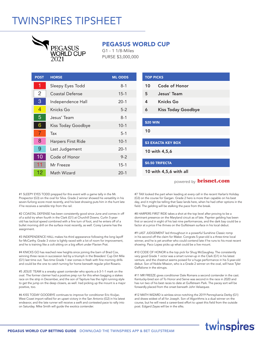## TWINSPIRES TIPSHEET



### PEGASUS WORLD CUP

G1 - 1 1/8-Miles PURSE \$3,000,000

| <b>POST</b>    | <b>HORSE</b>       | <b>ML ODDS</b> |
|----------------|--------------------|----------------|
| 1              | Sleepy Eyes Todd   | $8 - 1$        |
| $\overline{2}$ | Coastal Defense    | $15 - 1$       |
| 3              | Independence Hall  | $20-1$         |
| 4              | Knicks Go          | $5 - 2$        |
| 5              | Jesus' Team        | $8 - 1$        |
| 6              | Kiss Today Goodbye | $10-1$         |
| $\overline{7}$ | Tax                | $5-1$          |
| 8              | Harpers First Ride | $10 - 1$       |
| 9              | Last Judgement     | $20 - 1$       |
| 10             | Code of Honor      | $9 - 2$        |
| 11             | Mr Freeze          | $15 - 1$       |
| 12             | Math Wizard        | $20-1$         |

| <b>TOP PICKS</b>          |                           |  |
|---------------------------|---------------------------|--|
| 10                        | <b>Code of Honor</b>      |  |
| 5                         | Jesus' Team               |  |
| 4                         | <b>Knicks Go</b>          |  |
| 6                         | <b>Kiss Today Goodbye</b> |  |
|                           |                           |  |
| \$20 WIN                  |                           |  |
| 10                        |                           |  |
|                           |                           |  |
| <b>\$3 EXACTA KEY BOX</b> |                           |  |
| 10 with 4,5,6             |                           |  |
|                           |                           |  |
| <b>\$0.50 TRIFECTA</b>    |                           |  |

10 with 4,5,6 with all

powered by **brisnet.com**

#1 SLEEPY EYES TODD prepped for this event with a game tally in the Mr. Prospector (G3) on the oval for Silva. Grade 2 winner showed his versatility in his seven-furlong score most recently, and his best showing puts him in the hunt late if he receives a sensible trip from the rail.

#2 COASTAL DEFENSE has been consistently good since June and comes in off of a solid try when fourth in the Clark (G1) at Churchill Downs. Curlin 5-yearold has tactical speed combined with a fine turn of foot, and he enters off of a bullet morning drill on the surface most recently, as well. Corey Lanerie has the assignment.

#3 INDEPENDENCE HALL makes his third appearance following the long layoff for McCarthy. Grade 3 victor is lightly raced with a lot of room for improvement, and he is training like a colt sitting on a big effort under Flavien Prat.

#4 KNICKS GO has reached new heights since joining the barn of Brad Cox, winning three races in succession led by a triumph in the Breeders' Cup Dirt Mile (G1) last time out. Two-time Grade 1 star comes in fresh with fine morning drills and could be the one to catch turning for home beneath regular pilot Rosario.

#5 JESUS' TEAM is a sneaky upset contender who sports a 6-3-1-1 mark on the oval. The former claimer had a positive prep run for this when bagging a stakes race on the strip in December, and the son of Tapiture has the right running style to get the jump on the deep closers, as well. Irad picking up the mount is a major positive, too.

#6 KISS TODAY GOODBYE continues to improve for conditioner Eric Kruljac. West Coast import rallied for an upset victory in the San Antonio (G2) in his latest endeavor, and the late runner will receive a swift and contested pace to rally into on Saturday. Mike Smith will guide the exotics contender.

#7 TAX looked the part when leading at every call in the recent Harlan's Holiday (G3) on the course for Gargan. Grade 2 hero is more than capable on his best day, and it might be telling that Saez lands here, when he had other options in the field. The gelding will be stalking the pace from the break.

#8 HARPERS FIRST RIDE takes a shot at the top level after proving to be a dominant presence on the Maryland circuit as of late. Paynter gelding has been first or second in eight of his last nine performances, and the dark bay could be a factor at a price if he thrives on the Gulfstream surface in his local debut.

#9 LAST JUDGEMENT led throughout in a powerful Sunshine Classic romp in his second off the claim for Maker. Congrats 5-year-old is a three-time local winner, and he is yet another who could contend late if he runs to his most recent showing. Paco Lopez picks up what could be a live mount.

#10 CODE OF HONOR is the top pick for Shug McGaughey. The consistently very good Grade 1 victor was a smart runner-up in the Clark (G1) in his latest venture, and the chestnut seems poised for a huge performance in his 5-year-old debut. Son of Noble Mission, who is a Grade 2 winner on the oval, will have Tyler Gaffalione in the stirrups.

#11 MR FREEZE gives conditioner Dale Romans a second contender in the cast. Kentucky-bred son of To Honor and Serve was second in the race in 2020 and has run two of his best races to date at Gulfstream Park. The pacey sort will be forwardly placed from the onset beneath John Velazquez.

#12 MATH WIZARD is winless since notching the 2019 Pennsylvania Derby (G1) and draws widest of all for Joseph. Son of Algorithms is a dual winner on the course, but he will need a career-best effort to upset this field from the outside post. Edgard Zayas will be in the silks.